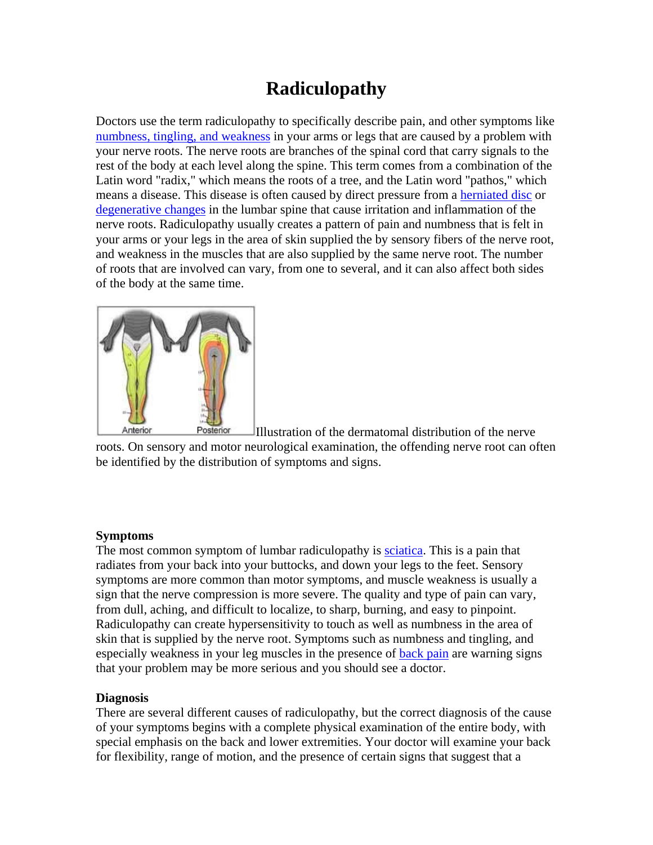## **Radiculopathy**

Doctors use the term radiculopathy to specifically describe pain, and other symptoms like [numbness, tingling, and weakness](http://www.back.com/symptoms-numbness.html) in your arms or legs that are caused by a problem with your nerve roots. The nerve roots are branches of the spinal cord that carry signals to the rest of the body at each level along the spine. This term comes from a combination of the Latin word "radix," which means the roots of a tree, and the Latin word "pathos," which means a disease. This disease is often caused by direct pressure from a [herniated disc](http://www.back.com/causes-mechanical-herniated.html) or [degenerative changes](http://www.back.com/causes-mechanical-degenerative.html) in the lumbar spine that cause irritation and inflammation of the nerve roots. Radiculopathy usually creates a pattern of pain and numbness that is felt in your arms or your legs in the area of skin supplied the by sensory fibers of the nerve root, and weakness in the muscles that are also supplied by the same nerve root. The number of roots that are involved can vary, from one to several, and it can also affect both sides of the body at the same time.



Posterior Anterior Illustration of the dermatomal distribution of the nerve roots. On sensory and motor neurological examination, the offending nerve root can often be identified by the distribution of symptoms and signs.

## **Symptoms**

The most common symptom of lumbar radiculopathy is [sciatica.](http://www.back.com/symptoms-sciatica.html) This is a pain that radiates from your back into your buttocks, and down your legs to the feet. Sensory symptoms are more common than motor symptoms, and muscle weakness is usually a sign that the nerve compression is more severe. The quality and type of pain can vary, from dull, aching, and difficult to localize, to sharp, burning, and easy to pinpoint. Radiculopathy can create hypersensitivity to touch as well as numbness in the area of skin that is supplied by the nerve root. Symptoms such as numbness and tingling, and especially weakness in your leg muscles in the presence of [back pain](http://www.back.com/symptoms-pain.html) are warning signs that your problem may be more serious and you should see a doctor.

## **Diagnosis**

There are several different causes of radiculopathy, but the correct diagnosis of the cause of your symptoms begins with a complete physical examination of the entire body, with special emphasis on the back and lower extremities. Your doctor will examine your back for flexibility, range of motion, and the presence of certain signs that suggest that a